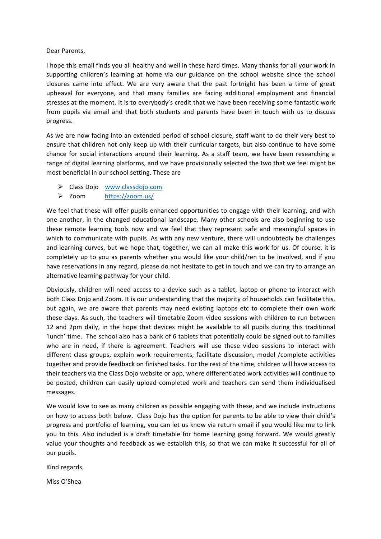## Dear Parents,

I hope this email finds you all healthy and well in these hard times. Many thanks for all your work in supporting children's learning at home via our guidance on the school website since the school closures came into effect. We are very aware that the past fortnight has been a time of great upheaval for everyone, and that many families are facing additional employment and financial stresses at the moment. It is to everybody's credit that we have been receiving some fantastic work from pupils via email and that both students and parents have been in touch with us to discuss progress. 

As we are now facing into an extended period of school closure, staff want to do their very best to ensure that children not only keep up with their curricular targets, but also continue to have some chance for social interactions around their learning. As a staff team, we have been researching a range of digital learning platforms, and we have provisionally selected the two that we feel might be most beneficial in our school setting. These are

- $\triangleright$  Class Dojo www.classdojo.com
- Ø Zoom https://zoom.us/

We feel that these will offer pupils enhanced opportunities to engage with their learning, and with one another, in the changed educational landscape. Many other schools are also beginning to use these remote learning tools now and we feel that they represent safe and meaningful spaces in which to communicate with pupils. As with any new venture, there will undoubtedly be challenges and learning curves, but we hope that, together, we can all make this work for us. Of course, it is completely up to you as parents whether you would like your child/ren to be involved, and if you have reservations in any regard, please do not hesitate to get in touch and we can try to arrange an alternative learning pathway for your child.

Obviously, children will need access to a device such as a tablet, laptop or phone to interact with both Class Dojo and Zoom. It is our understanding that the majority of households can facilitate this, but again, we are aware that parents may need existing laptops etc to complete their own work these days. As such, the teachers will timetable Zoom video sessions with children to run between 12 and 2pm daily, in the hope that devices might be available to all pupils during this traditional 'lunch' time. The school also has a bank of 6 tablets that potentially could be signed out to families who are in need, if there is agreement. Teachers will use these video sessions to interact with different class groups, explain work requirements, facilitate discussion, model /complete activities together and provide feedback on finished tasks. For the rest of the time, children will have access to their teachers via the Class Dojo website or app, where differentiated work activities will continue to be posted, children can easily upload completed work and teachers can send them individualised messages.

We would love to see as many children as possible engaging with these, and we include instructions on how to access both below. Class Dojo has the option for parents to be able to view their child's progress and portfolio of learning, you can let us know via return email if you would like me to link you to this. Also included is a draft timetable for home learning going forward. We would greatly value your thoughts and feedback as we establish this, so that we can make it successful for all of our pupils.

Kind regards,

Miss O'Shea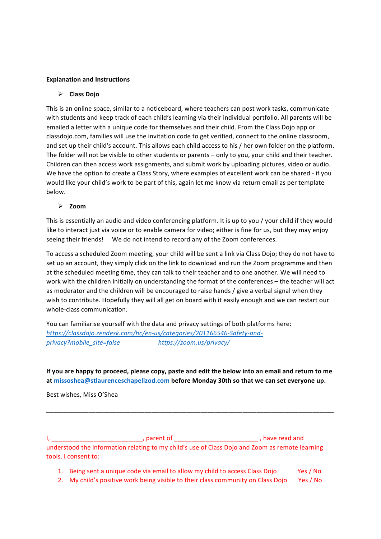# **Explanation and Instructions**

# $\triangleright$  Class Dojo

This is an online space, similar to a noticeboard, where teachers can post work tasks, communicate with students and keep track of each child's learning via their individual portfolio. All parents will be emailed a letter with a unique code for themselves and their child. From the Class Dojo app or classdojo.com, families will use the invitation code to get verified, connect to the online classroom, and set up their child's account. This allows each child access to his / her own folder on the platform. The folder will not be visible to other students or parents – only to you, your child and their teacher. Children can then access work assignments, and submit work by uploading pictures, video or audio. We have the option to create a Class Story, where examples of excellent work can be shared - if you would like your child's work to be part of this, again let me know via return email as per template below. 

## Ø **Zoom**

This is essentially an audio and video conferencing platform. It is up to you / your child if they would like to interact just via voice or to enable camera for video; either is fine for us, but they may enjoy seeing their friends! We do not intend to record any of the Zoom conferences.

To access a scheduled Zoom meeting, your child will be sent a link via Class Dojo; they do not have to set up an account, they simply click on the link to download and run the Zoom programme and then at the scheduled meeting time, they can talk to their teacher and to one another. We will need to work with the children initially on understanding the format of the conferences – the teacher will act as moderator and the children will be encouraged to raise hands / give a verbal signal when they wish to contribute. Hopefully they will all get on board with it easily enough and we can restart our whole-class communication.

You can familiarise yourself with the data and privacy settings of both platforms here: *https://classdojo.zendesk.com/hc/en-us/categories/201166546-Safety-and*privacy?mobile\_site=false https://zoom.us/privacy/

**If you are happy to proceed, please copy, paste and edit the below into an email and return to me** at missoshea@stlaurenceschapelizod.com before Monday 30th so that we can set everyone up.

\_\_\_\_\_\_\_\_\_\_\_\_\_\_\_\_\_\_\_\_\_\_\_\_\_\_\_\_\_\_\_\_\_\_\_\_\_\_\_\_\_\_\_\_\_\_\_\_\_\_\_\_\_\_\_\_\_\_\_\_\_\_\_\_\_\_\_\_\_\_\_\_\_\_\_\_\_\_\_\_\_\_

Best wishes, Miss O'Shea

I, \_\_\_\_\_\_\_\_\_\_\_\_\_\_\_\_\_\_\_\_\_\_\_\_\_\_\_\_\_\_\_\_\_\_, parent of \_\_\_\_\_\_\_\_\_\_\_\_\_\_\_\_\_\_\_\_\_\_\_\_\_\_\_\_\_\_\_\_, have read and understood the information relating to my child's use of Class Dojo and Zoom as remote learning tools. I consent to:

- 1. Being sent a unique code via email to allow my child to access Class Dojo Yes / No
- 2. My child's positive work being visible to their class community on Class Dojo Yes / No